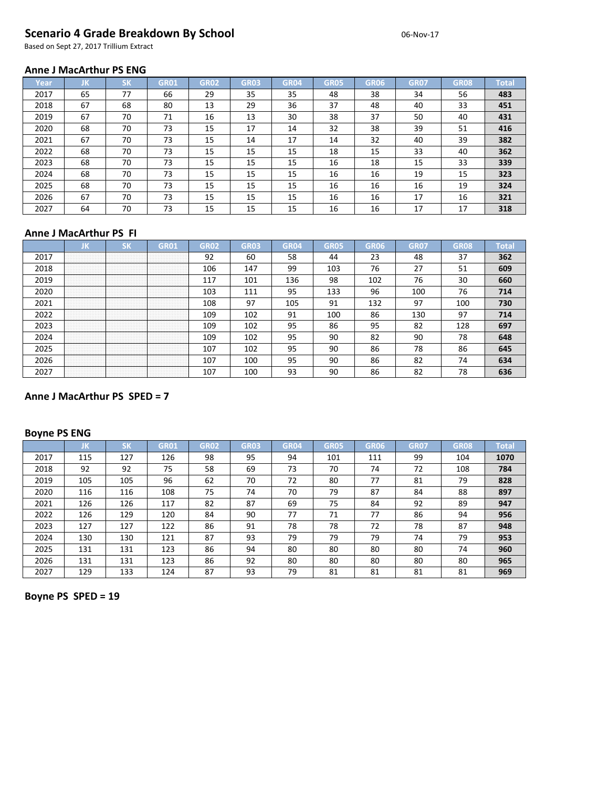# **Scenario 4 Grade Breakdown By School** <sup>06</sup>‐Nov‐<sup>17</sup>

Based on Sept 27, 2017 Trillium Extract

## **Anne J MacArthur PS ENG**

| Year | JK | <b>SK</b> | <b>GR01</b> | <b>GR02</b> | <b>GR03</b> | <b>GR04</b> | <b>GR05</b> | <b>GR06</b> | <b>GR07</b> | <b>GR08</b> | Total |
|------|----|-----------|-------------|-------------|-------------|-------------|-------------|-------------|-------------|-------------|-------|
| 2017 | 65 | 77        | 66          | 29          | 35          | 35          | 48          | 38          | 34          | 56          | 483   |
| 2018 | 67 | 68        | 80          | 13          | 29          | 36          | 37          | 48          | 40          | 33          | 451   |
| 2019 | 67 | 70        | 71          | 16          | 13          | 30          | 38          | 37          | 50          | 40          | 431   |
| 2020 | 68 | 70        | 73          | 15          | 17          | 14          | 32          | 38          | 39          | 51          | 416   |
| 2021 | 67 | 70        | 73          | 15          | 14          | 17          | 14          | 32          | 40          | 39          | 382   |
| 2022 | 68 | 70        | 73          | 15          | 15          | 15          | 18          | 15          | 33          | 40          | 362   |
| 2023 | 68 | 70        | 73          | 15          | 15          | 15          | 16          | 18          | 15          | 33          | 339   |
| 2024 | 68 | 70        | 73          | 15          | 15          | 15          | 16          | 16          | 19          | 15          | 323   |
| 2025 | 68 | 70        | 73          | 15          | 15          | 15          | 16          | 16          | 16          | 19          | 324   |
| 2026 | 67 | 70        | 73          | 15          | 15          | 15          | 16          | 16          | 17          | 16          | 321   |
| 2027 | 64 | 70        | 73          | 15          | 15          | 15          | 16          | 16          | 17          | 17          | 318   |

### **Anne J MacArthur PS FI**

|      |                            | C1                                   |                                                                        | GR02 | GR03 | GR04 | GR05 | GR <sub>06</sub> | GR <sub>07</sub> | GR08 | <b>Total</b> |
|------|----------------------------|--------------------------------------|------------------------------------------------------------------------|------|------|------|------|------------------|------------------|------|--------------|
| 2017 | .<br>.<br>.<br>.<br>.      | .<br>.<br>.<br>.<br>.                | .<br><br>.<br>.<br>.                                                   | 92   | 60   | 58   | 44   | 23               | 48               | 37   | 362          |
| 2018 | .<br>.<br>.<br>.<br>       | .<br>.<br>.<br><br>                  | .<br>.<br>.<br>.                                                       | 106  | 147  | 99   | 103  | 76               |                  | 51   | 609          |
| 2019 | .<br>.<br>.<br>.<br>.<br>. | <b>THEFT EXPLOSIVE CONTRACT</b><br>. | <b>THE REPORT OF A R. P. LEWIS CO., LANSING.</b><br><br><br>.<br><br>. | 117  | 101  | 136  | 98   | 102              | 76               | 30   | 660          |
| 2020 | <br><br><br><br>.          | <br>                                 | <br><br><br>                                                           | 103  | 111  | 95   | 133  | 96               | 100              | 76   | 714          |
| 2021 | <br><br><br><br>.          |                                      | <br>.                                                                  | 108  | 97   | 105  | 91   | 132              | 97               | 100  | 730          |
| 2022 | .<br><br><br>              |                                      |                                                                        | 109  | 102  | 91   | 100  | 86               | 130              | 97   | 714          |
| 2023 | <br><br>                   |                                      |                                                                        | 109  | 102  | 95   | 86   | 95               | 82               | 128  | 697          |
| 2024 | .<br>.<br><br>.<br>.       | .                                    | .                                                                      | 109  | 102  | 95   | 90   | 82               | 90               | 78   | 648          |
| 2025 | <br><br><br>.<br>          | <br>                                 |                                                                        | 107  | 102  | 95   | 90   | 86               | 78               | 86   | 645          |
| 2026 | .<br><br>.<br>.<br>.<br>.  | .<br><br>.                           | .                                                                      | 107  | 100  | 95   | 90   | 86               | 82               | 74   | 634          |
| 2027 | <br>.<br>.<br>.<br>.<br>.  |                                      |                                                                        | 107  | 100  | 93   | 90   | 86               | 82               | 78   | 636          |

# **Anne J MacArthur PS SPED = 7**

## **Boyne PS ENG**

|      | JΚ. | <b>SK</b> | <b>GR01</b> | <b>GR02</b> | <b>GR03</b> | GR <sub>04</sub> | <b>GR05</b> | <b>GR06</b> | <b>GR07</b> | <b>GR08</b> | Total |
|------|-----|-----------|-------------|-------------|-------------|------------------|-------------|-------------|-------------|-------------|-------|
| 2017 | 115 | 127       | 126         | 98          | 95          | 94               | 101         | 111         | 99          | 104         | 1070  |
| 2018 | 92  | 92        | 75          | 58          | 69          | 73               | 70          | 74          | 72          | 108         | 784   |
| 2019 | 105 | 105       | 96          | 62          | 70          | 72               | 80          | 77          | 81          | 79          | 828   |
| 2020 | 116 | 116       | 108         | 75          | 74          | 70               | 79          | 87          | 84          | 88          | 897   |
| 2021 | 126 | 126       | 117         | 82          | 87          | 69               | 75          | 84          | 92          | 89          | 947   |
| 2022 | 126 | 129       | 120         | 84          | 90          | 77               | 71          | 77          | 86          | 94          | 956   |
| 2023 | 127 | 127       | 122         | 86          | 91          | 78               | 78          | 72          | 78          | 87          | 948   |
| 2024 | 130 | 130       | 121         | 87          | 93          | 79               | 79          | 79          | 74          | 79          | 953   |
| 2025 | 131 | 131       | 123         | 86          | 94          | 80               | 80          | 80          | 80          | 74          | 960   |
| 2026 | 131 | 131       | 123         | 86          | 92          | 80               | 80          | 80          | 80          | 80          | 965   |
| 2027 | 129 | 133       | 124         | 87          | 93          | 79               | 81          | 81          | 81          | 81          | 969   |

**Boyne PS SPED = 19**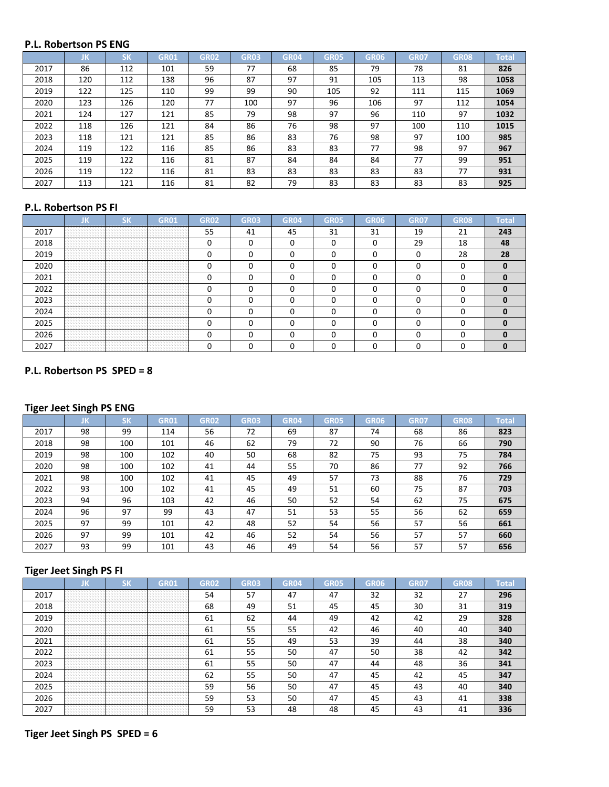## **P.L. Robertson PS ENG**

|      | JK  | <b>SK</b> | <b>GR01</b> | <b>GR02</b> | <b>GR03</b> | GR <sub>04</sub> | <b>GR05</b> | <b>GR06</b> | <b>GR07</b> | <b>GR08</b> | Total |
|------|-----|-----------|-------------|-------------|-------------|------------------|-------------|-------------|-------------|-------------|-------|
| 2017 | 86  | 112       | 101         | 59          | 77          | 68               | 85          | 79          | 78          | 81          | 826   |
| 2018 | 120 | 112       | 138         | 96          | 87          | 97               | 91          | 105         | 113         | 98          | 1058  |
| 2019 | 122 | 125       | 110         | 99          | 99          | 90               | 105         | 92          | 111         | 115         | 1069  |
| 2020 | 123 | 126       | 120         | 77          | 100         | 97               | 96          | 106         | 97          | 112         | 1054  |
| 2021 | 124 | 127       | 121         | 85          | 79          | 98               | 97          | 96          | 110         | 97          | 1032  |
| 2022 | 118 | 126       | 121         | 84          | 86          | 76               | 98          | 97          | 100         | 110         | 1015  |
| 2023 | 118 | 121       | 121         | 85          | 86          | 83               | 76          | 98          | 97          | 100         | 985   |
| 2024 | 119 | 122       | 116         | 85          | 86          | 83               | 83          | 77          | 98          | 97          | 967   |
| 2025 | 119 | 122       | 116         | 81          | 87          | 84               | 84          | 84          | 77          | 99          | 951   |
| 2026 | 119 | 122       | 116         | 81          | 83          | 83               | 83          | 83          | 83          | 77          | 931   |
| 2027 | 113 | 121       | 116         | 81          | 82          | 79               | 83          | 83          | 83          | 83          | 925   |

# **P.L. Robertson PS FI**

|      |                            | сv     | GRO1      | GR02 | GR03 | GRO4 | GR05 | GRO6 | GR07 | е възв |  |
|------|----------------------------|--------|-----------|------|------|------|------|------|------|--------|--|
| 2017 | .<br>.<br>.<br>.<br>.<br>. | .      | .<br>.    | 55   |      |      |      |      |      |        |  |
| 2018 | .<br>.<br>.<br>.<br>.<br>. | .<br>. | .<br><br> |      |      |      |      |      | 29   | 18     |  |
| 2019 | .<br>                      | .      |           |      |      |      |      |      |      | 28     |  |
| 2020 |                            |        |           |      |      |      |      |      |      |        |  |
| 2021 |                            |        |           |      |      |      |      |      |      |        |  |
| 2022 | .<br>                      |        |           |      |      |      |      |      |      |        |  |
| 2023 | .<br>.<br>.<br><br>.       |        |           |      |      |      |      |      |      |        |  |
| 2024 | .<br><br>.<br>.<br>.       |        |           |      |      |      |      |      |      |        |  |
| 2025 | .<br>.<br><br>.<br>.<br>.  | .<br>  | .<br>.    |      |      |      |      |      |      |        |  |
| 2026 | .<br>.<br>.<br><br>        | <br>   |           |      |      |      |      |      |      |        |  |
|      |                            |        |           |      |      |      |      |      |      |        |  |

## **P.L. Robertson PS SPED = 8**

# **Tiger Jeet Singh PS ENG**

|      | JK | <b>SK</b> | <b>GR01</b> | <b>GR02</b> | <b>GR03</b> | GR <sub>04</sub> | GR <sub>05</sub> | <b>GR06</b> | <b>GR07</b> | <b>GR08</b> | <b>Total</b> |
|------|----|-----------|-------------|-------------|-------------|------------------|------------------|-------------|-------------|-------------|--------------|
| 2017 | 98 | 99        | 114         | 56          | 72          | 69               | 87               | 74          | 68          | 86          | 823          |
| 2018 | 98 | 100       | 101         | 46          | 62          | 79               | 72               | 90          | 76          | 66          | 790          |
| 2019 | 98 | 100       | 102         | 40          | 50          | 68               | 82               | 75          | 93          | 75          | 784          |
| 2020 | 98 | 100       | 102         | 41          | 44          | 55               | 70               | 86          | 77          | 92          | 766          |
| 2021 | 98 | 100       | 102         | 41          | 45          | 49               | 57               | 73          | 88          | 76          | 729          |
| 2022 | 93 | 100       | 102         | 41          | 45          | 49               | 51               | 60          | 75          | 87          | 703          |
| 2023 | 94 | 96        | 103         | 42          | 46          | 50               | 52               | 54          | 62          | 75          | 675          |
| 2024 | 96 | 97        | 99          | 43          | 47          | 51               | 53               | 55          | 56          | 62          | 659          |
| 2025 | 97 | 99        | 101         | 42          | 48          | 52               | 54               | 56          | 57          | 56          | 661          |
| 2026 | 97 | 99        | 101         | 42          | 46          | 52               | 54               | 56          | 57          | 57          | 660          |
| 2027 | 93 | 99        | 101         | 43          | 46          | 49               | 54               | 56          | 57          | 57          | 656          |

# **Tiger Jeet Singh PS FI**

|      |      | сv |          |    |    |    |    |    |    |    | Total |
|------|------|----|----------|----|----|----|----|----|----|----|-------|
| 2017 |      |    |          | 54 | 57 |    | 47 | 32 | 32 | 27 | 296   |
| 2018 | .    | .  |          | 68 | 49 | 51 | 45 | 45 | 30 | 31 | 319   |
| 2019 |      |    |          | 61 |    |    | 49 | 42 | 42 | 29 | 328   |
| 2020 |      |    |          | 61 | 55 | 55 | 42 | 46 | 40 | 40 | 340   |
| 2021 | <br> |    | <br><br> | ы  | 55 | 49 | 53 | 39 | 44 | 38 | 340   |
| 2022 |      |    | <br><br> | 61 | 55 | 50 | 47 | 50 | 38 | 42 | 342   |
| 2023 |      |    |          | 61 | 55 | 50 | 47 | 44 | 48 | 36 | 341   |
| 2024 |      |    | .        | 62 | 55 | 50 | 47 | 45 | 42 | 45 | 347   |
| 2025 | .    | .  |          | 59 | 56 | 50 | 47 | 45 | 43 | 40 | 340   |
| 2026 |      |    |          | 59 | 53 | 50 | 47 | 45 | 43 | 41 | 338   |
| 2027 |      |    |          | 59 |    |    |    |    |    |    |       |

# **Tiger Jeet Singh PS SPED = 6**